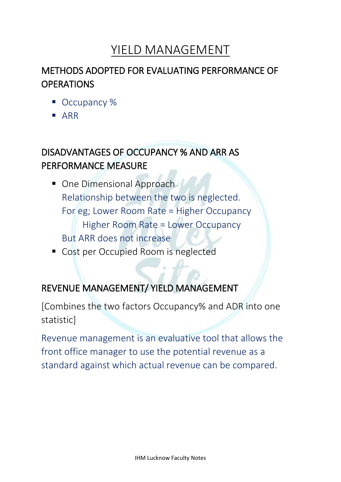# YIELD MANAGEMENT

## METHODS ADOPTED FOR EVALUATING PERFORMANCE OF **OPERATIONS**

- Occupancy %
- ARR

## DISADVANTAGES OF OCCUPANCY % AND ARR AS PERFORMANCE MEASURE

- One Dimensional Approach Relationship between the two is neglected. For eg; Lower Room Rate = Higher Occupancy Higher Room Rate = Lower Occupancy But ARR does not increase
- Cost per Occupied Room is neglected

### REVENUE MANAGEMENT/ YIELD MANAGEMENT

[Combines the two factors Occupancy% and ADR into one statistic]

Revenue management is an evaluative tool that allows the front office manager to use the potential revenue as a standard against which actual revenue can be compared.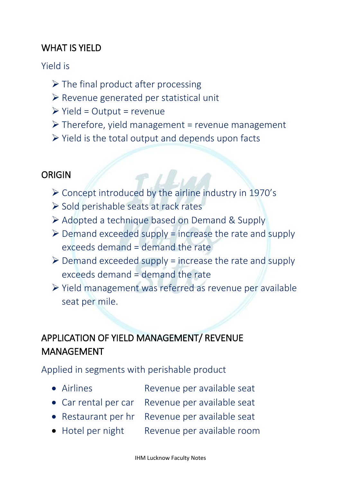## WHAT IS YIELD

#### Yield is

- $\triangleright$  The final product after processing
- ➢ Revenue generated per statistical unit
- $\triangleright$  Yield = Output = revenue
- $\triangleright$  Therefore, yield management = revenue management
- $\triangleright$  Yield is the total output and depends upon facts

## ORIGIN

- ➢ Concept introduced by the airline industry in 1970's
- ➢ Sold perishable seats at rack rates
- ➢ Adopted a technique based on Demand & Supply
- $\triangleright$  Demand exceeded supply = increase the rate and supply exceeds demand = demand the rate
- $\triangleright$  Demand exceeded supply = increase the rate and supply exceeds demand = demand the rate
- ➢ Yield management was referred as revenue per available seat per mile.

## APPLICATION OF YIELD MANAGEMENT/ REVENUE MANAGEMENT

Applied in segments with perishable product

- Airlines Revenue per available seat
- Car rental per car Revenue per available seat
- Restaurant per hr Revenue per available seat
- Hotel per night Revenue per available room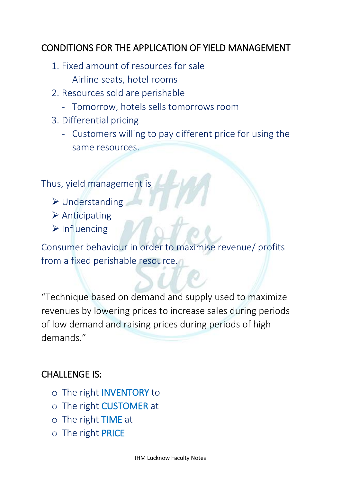## CONDITIONS FOR THE APPLICATION OF YIELD MANAGEMENT

- 1. Fixed amount of resources for sale
	- Airline seats, hotel rooms
- 2. Resources sold are perishable
	- Tomorrow, hotels sells tomorrows room
- 3. Differential pricing
	- Customers willing to pay different price for using the same resources.

Thus, yield management is

- ➢ Understanding
- ➢ Anticipating
- ➢ Influencing

Consumer behaviour in order to maximise revenue/ profits from a fixed perishable resource.

"Technique based on demand and supply used to maximize revenues by lowering prices to increase sales during periods of low demand and raising prices during periods of high demands."

### CHALLENGE IS:

- o The right INVENTORY to
- o The right CUSTOMER at
- o The right TIME at
- o The right PRICE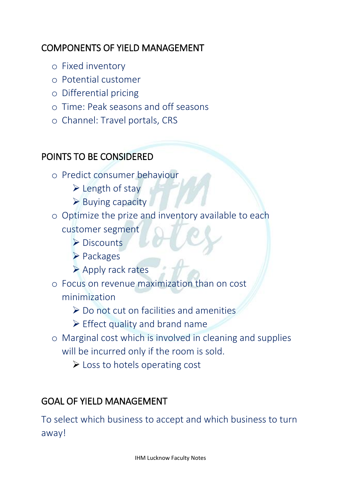## COMPONENTS OF YIELD MANAGEMENT

- o Fixed inventory
- o Potential customer
- o Differential pricing
- o Time: Peak seasons and off seasons
- o Channel: Travel portals, CRS

## POINTS TO BE CONSIDERED

- o Predict consumer behaviour
	- ➢ Length of stay
	- ➢ Buying capacity
- o Optimize the prize and inventory available to each customer segment
	- ➢ Discounts
	- ➢ Packages
	- ➢ Apply rack rates
- o Focus on revenue maximization than on cost minimization
	- ➢ Do not cut on facilities and amenities
	- ➢ Effect quality and brand name
- o Marginal cost which is involved in cleaning and supplies will be incurred only if the room is sold.
	- ➢ Loss to hotels operating cost

## GOAL OF YIELD MANAGEMENT

To select which business to accept and which business to turn away!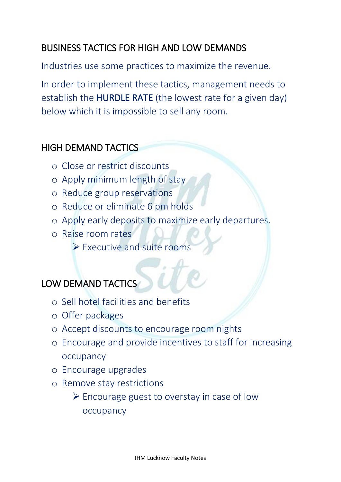## BUSINESS TACTICS FOR HIGH AND LOW DEMANDS

Industries use some practices to maximize the revenue.

In order to implement these tactics, management needs to establish the HURDLE RATE (the lowest rate for a given day) below which it is impossible to sell any room.

### HIGH DEMAND TACTICS

- o Close or restrict discounts
- o Apply minimum length of stay
- o Reduce group reservations
- o Reduce or eliminate 6 pm holds
- o Apply early deposits to maximize early departures.
- o Raise room rates
	- ➢ Executive and suite rooms

## LOW DEMAND TACTICS

- o Sell hotel facilities and benefits
- o Offer packages
- o Accept discounts to encourage room nights
- o Encourage and provide incentives to staff for increasing occupancy
- o Encourage upgrades
- o Remove stay restrictions

 $\triangleright$  Encourage guest to overstay in case of low occupancy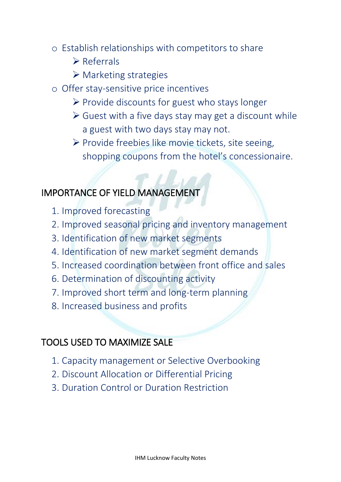- o Establish relationships with competitors to share
	- ➢ Referrals
	- ➢ Marketing strategies
- o Offer stay-sensitive price incentives
	- ➢ Provide discounts for guest who stays longer
	- $\triangleright$  Guest with a five days stay may get a discount while a guest with two days stay may not.
	- ➢ Provide freebies like movie tickets, site seeing, shopping coupons from the hotel's concessionaire.

#### IMPORTANCE OF YIELD MANAGEMENT

- 1. Improved forecasting
- 2. Improved seasonal pricing and inventory management
- 3. Identification of new market segments
- 4. Identification of new market segment demands
- 5. Increased coordination between front office and sales
- 6. Determination of discounting activity
- 7. Improved short term and long-term planning
- 8. Increased business and profits

#### TOOLS USED TO MAXIMIZE SALE

- 1. Capacity management or Selective Overbooking
- 2. Discount Allocation or Differential Pricing
- 3. Duration Control or Duration Restriction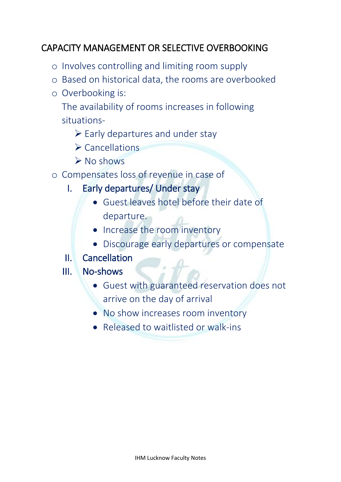## CAPACITY MANAGEMENT OR SELECTIVE OVERBOOKING

- o Involves controlling and limiting room supply
- o Based on historical data, the rooms are overbooked
- o Overbooking is:

The availability of rooms increases in following situations-

- $\triangleright$  Early departures and under stay
- ➢ Cancellations
- ➢ No shows
- o Compensates loss of revenue in case of
	- I. Early departures/ Under stay
		- Guest leaves hotel before their date of departure.
		- Increase the room inventory
		- Discourage early departures or compensate
	- II. Cancellation

#### III. No-shows

- Guest with guaranteed reservation does not arrive on the day of arrival
- No show increases room inventory
- Released to waitlisted or walk-ins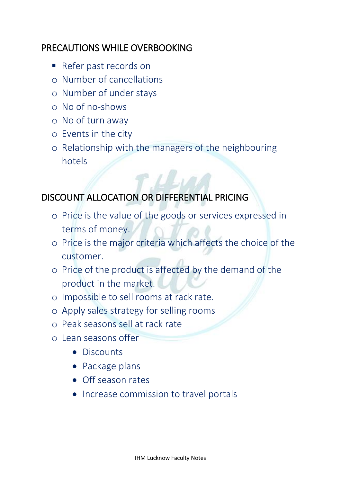### PRECAUTIONS WHILE OVERBOOKING

- Refer past records on
- o Number of cancellations
- o Number of under stays
- o No of no-shows
- o No of turn away
- o Events in the city
- o Relationship with the managers of the neighbouring hotels

## DISCOUNT ALLOCATION OR DIFFERENTIAL PRICING

- o Price is the value of the goods or services expressed in terms of money.
- o Price is the major criteria which affects the choice of the customer.
- o Price of the product is affected by the demand of the product in the market.
- o Impossible to sell rooms at rack rate.
- o Apply sales strategy for selling rooms
- o Peak seasons sell at rack rate
- o Lean seasons offer
	- Discounts
	- Package plans
	- Off season rates
	- Increase commission to travel portals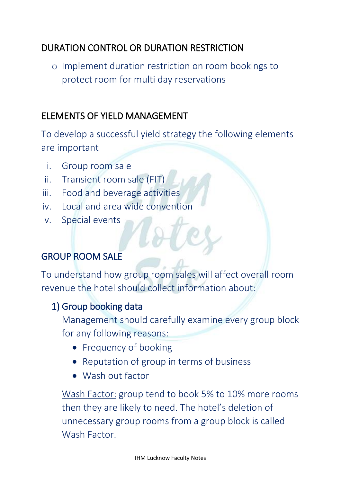## DURATION CONTROL OR DURATION RESTRICTION

o Implement duration restriction on room bookings to protect room for multi day reservations

## ELEMENTS OF YIELD MANAGEMENT

To develop a successful yield strategy the following elements are important

- i. Group room sale
- ii. Transient room sale (FIT)
- iii. Food and beverage activities
- iv. Local and area wide convention
- v. Special events

## GROUP ROOM SALE

To understand how group room sales will affect overall room revenue the hotel should collect information about:

### 1) Group booking data

Management should carefully examine every group block for any following reasons:

- Frequency of booking
- Reputation of group in terms of business
- Wash out factor

Wash Factor: group tend to book 5% to 10% more rooms then they are likely to need. The hotel's deletion of unnecessary group rooms from a group block is called Wash Factor.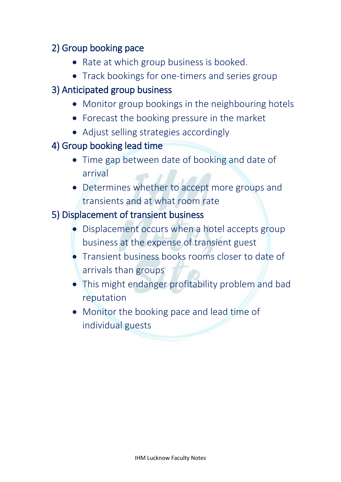## 2) Group booking pace

- Rate at which group business is booked.
- Track bookings for one-timers and series group

## 3) Anticipated group business

- Monitor group bookings in the neighbouring hotels
- Forecast the booking pressure in the market
- Adjust selling strategies accordingly
- 4) Group booking lead time
	- Time gap between date of booking and date of arrival
	- Determines whether to accept more groups and transients and at what room rate

#### 5) Displacement of transient business

- Displacement occurs when a hotel accepts group business at the expense of transient guest
- Transient business books rooms closer to date of arrivals than groups
- This might endanger profitability problem and bad reputation
- Monitor the booking pace and lead time of individual guests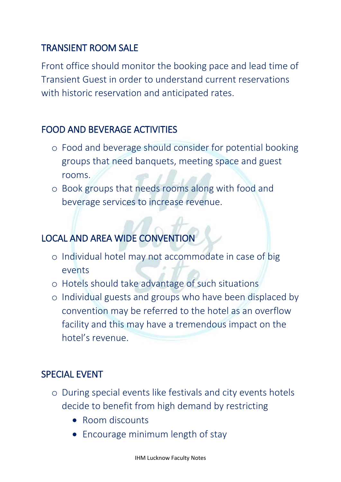## TRANSIENT ROOM SALE

Front office should monitor the booking pace and lead time of Transient Guest in order to understand current reservations with historic reservation and anticipated rates.

### FOOD AND BEVERAGE ACTIVITIES

- o Food and beverage should consider for potential booking groups that need banquets, meeting space and guest rooms.
- o Book groups that needs rooms along with food and beverage services to increase revenue.

# LOCAL AND AREA WIDE CONVENTION

- o Individual hotel may not accommodate in case of big events
- o Hotels should take advantage of such situations
- o Individual guests and groups who have been displaced by convention may be referred to the hotel as an overflow facility and this may have a tremendous impact on the hotel's revenue.

### SPECIAL EVENT

- o During special events like festivals and city events hotels decide to benefit from high demand by restricting
	- Room discounts
	- Encourage minimum length of stay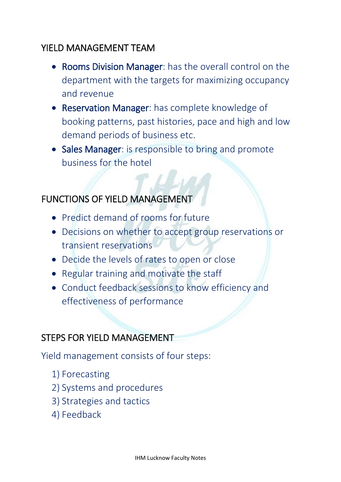#### YIELD MANAGEMENT TEAM

- Rooms Division Manager: has the overall control on the department with the targets for maximizing occupancy and revenue
- Reservation Manager: has complete knowledge of booking patterns, past histories, pace and high and low demand periods of business etc.
- Sales Manager: is responsible to bring and promote business for the hotel

## FUNCTIONS OF YIELD MANAGEMENT

- Predict demand of rooms for future
- Decisions on whether to accept group reservations or transient reservations
- Decide the levels of rates to open or close
- Regular training and motivate the staff
- Conduct feedback sessions to know efficiency and effectiveness of performance

### STEPS FOR YIELD MANAGEMENT

Yield management consists of four steps:

- 1) Forecasting
- 2) Systems and procedures
- 3) Strategies and tactics
- 4) Feedback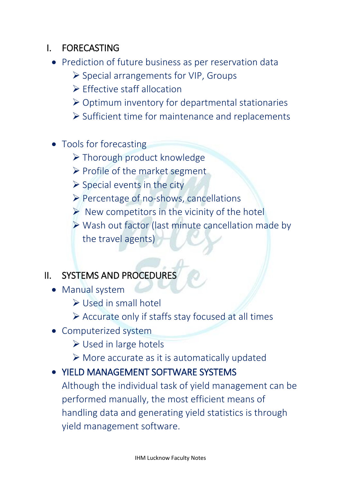## I. FORECASTING

- Prediction of future business as per reservation data
	- ➢ Special arrangements for VIP, Groups
	- ➢ Effective staff allocation
	- ➢ Optimum inventory for departmental stationaries
	- ➢ Sufficient time for maintenance and replacements
- Tools for forecasting
	- ➢ Thorough product knowledge
	- ➢ Profile of the market segment
	- $\triangleright$  Special events in the city
	- ➢ Percentage of no-shows, cancellations
	- $\triangleright$  New competitors in the vicinity of the hotel
	- ➢ Wash out factor (last minute cancellation made by the travel agents)

## II. SYSTEMS AND PROCEDURES

- Manual system
	- ➢ Used in small hotel
	- ➢ Accurate only if staffs stay focused at all times
- Computerized system
	- ➢ Used in large hotels
	- ➢ More accurate as it is automatically updated
- YIELD MANAGEMENT SOFTWARE SYSTEMS

Although the individual task of yield management can be performed manually, the most efficient means of handling data and generating yield statistics is through yield management software.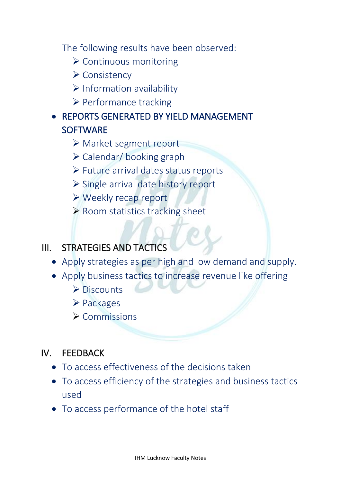The following results have been observed:

- ➢ Continuous monitoring
- ➢ Consistency
- ➢ Information availability
- ➢ Performance tracking
- REPORTS GENERATED BY YIELD MANAGEMENT **SOFTWARE** 
	- ➢ Market segment report
	- ➢ Calendar/ booking graph
	- ➢ Future arrival dates status reports
	- ➢ Single arrival date history report
	- ➢ Weekly recap report
	- ➢ Room statistics tracking sheet

## III. STRATEGIES AND TACTICS

- Apply strategies as per high and low demand and supply.
- Apply business tactics to increase revenue like offering
	- ➢ Discounts
	- ➢ Packages
	- ➢ Commissions

### IV. FEEDBACK

- To access effectiveness of the decisions taken
- To access efficiency of the strategies and business tactics used
- To access performance of the hotel staff